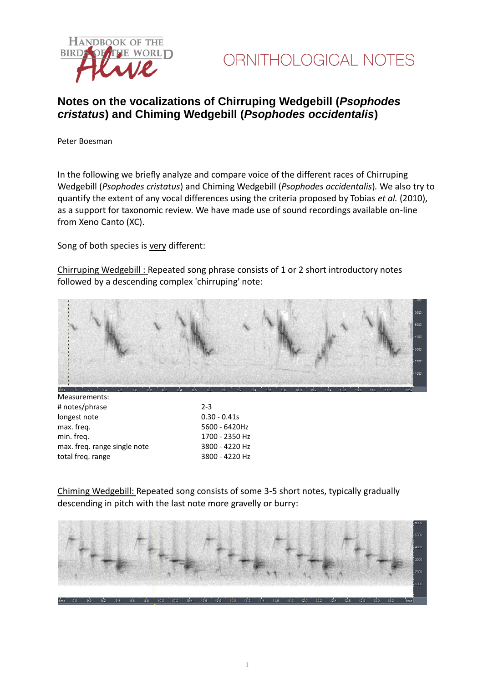



## **Notes on the vocalizations of Chirruping Wedgebill (***Psophodes cristatus***) and Chiming Wedgebill (***Psophodes occidentalis***)**

Peter Boesman

In the following we briefly analyze and compare voice of the different races of Chirruping Wedgebill (*Psophodes cristatus*) and Chiming Wedgebill (*Psophodes occidentalis*)*.* We also try to quantify the extent of any vocal differences using the criteria proposed by Tobias *et al.* (2010), as a support for taxonomic review. We have made use of sound recordings available on-line from Xeno Canto (XC).

Song of both species is very different:

Chirruping Wedgebill : Repeated song phrase consists of 1 or 2 short introductory notes followed by a descending complex 'chirruping' note:



| $2 - 3$        |
|----------------|
| $0.30 - 0.41s$ |
| 5600 - 6420Hz  |
| 1700 - 2350 Hz |
| 3800 - 4220 Hz |
| 3800 - 4220 Hz |
|                |

Chiming Wedgebill: Repeated song consists of some 3-5 short notes, typically gradually descending in pitch with the last note more gravelly or burry: